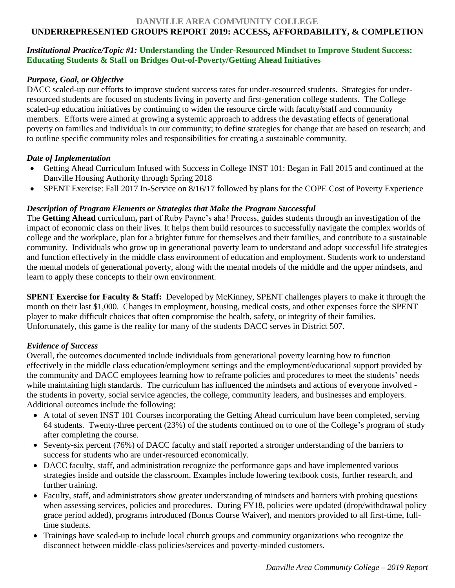#### **DANVILLE AREA COMMUNITY COLLEGE**

# **UNDERREPRESENTED GROUPS REPORT 2019: ACCESS, AFFORDABILITY, & COMPLETION**

## *Institutional Practice/Topic #1:* **Understanding the Under-Resourced Mindset to Improve Student Success: Educating Students & Staff on Bridges Out-of-Poverty/Getting Ahead Initiatives**

## *Purpose, Goal, or Objective*

DACC scaled-up our efforts to improve student success rates for under-resourced students. Strategies for underresourced students are focused on students living in poverty and first-generation college students. The College scaled-up education initiatives by continuing to widen the resource circle with faculty/staff and community members. Efforts were aimed at growing a systemic approach to address the devastating effects of generational poverty on families and individuals in our community; to define strategies for change that are based on research; and to outline specific community roles and responsibilities for creating a sustainable community.

#### *Date of Implementation*

- Getting Ahead Curriculum Infused with Success in College INST 101: Began in Fall 2015 and continued at the Danville Housing Authority through Spring 2018
- SPENT Exercise: Fall 2017 In-Service on 8/16/17 followed by plans for the COPE Cost of Poverty Experience

## *Description of Program Elements or Strategies that Make the Program Successful*

The **Getting Ahead** curriculum**,** part of Ruby Payne's aha! Process, guides students through an investigation of the impact of economic class on their lives. It helps them build resources to successfully navigate the complex worlds of college and the workplace, plan for a brighter future for themselves and their families, and contribute to a sustainable community. Individuals who grow up in generational poverty learn to understand and adopt successful life strategies and function effectively in the middle class environment of education and employment. Students work to understand the mental models of generational poverty, along with the mental models of the middle and the upper mindsets, and learn to apply these concepts to their own environment.

**SPENT Exercise for Faculty & Staff:** Developed by McKinney, SPENT challenges players to make it through the month on their last \$1,000. Changes in employment, housing, medical costs, and other expenses force the SPENT player to make difficult choices that often compromise the health, safety, or integrity of their families. Unfortunately, this game is the reality for many of the students DACC serves in District 507.

## *Evidence of Success*

Overall, the outcomes documented include individuals from generational poverty learning how to function effectively in the middle class education/employment settings and the employment/educational support provided by the community and DACC employees learning how to reframe policies and procedures to meet the students' needs while maintaining high standards. The curriculum has influenced the mindsets and actions of everyone involved the students in poverty, social service agencies, the college, community leaders, and businesses and employers. Additional outcomes include the following:

- A total of seven INST 101 Courses incorporating the Getting Ahead curriculum have been completed, serving 64 students. Twenty-three percent (23%) of the students continued on to one of the College's program of study after completing the course.
- Seventy-six percent (76%) of DACC faculty and staff reported a stronger understanding of the barriers to success for students who are under-resourced economically.
- DACC faculty, staff, and administration recognize the performance gaps and have implemented various strategies inside and outside the classroom. Examples include lowering textbook costs, further research, and further training.
- Faculty, staff, and administrators show greater understanding of mindsets and barriers with probing questions when assessing services, policies and procedures. During FY18, policies were updated (drop/withdrawal policy grace period added), programs introduced (Bonus Course Waiver), and mentors provided to all first-time, fulltime students.
- Trainings have scaled-up to include local church groups and community organizations who recognize the disconnect between middle-class policies/services and poverty-minded customers.